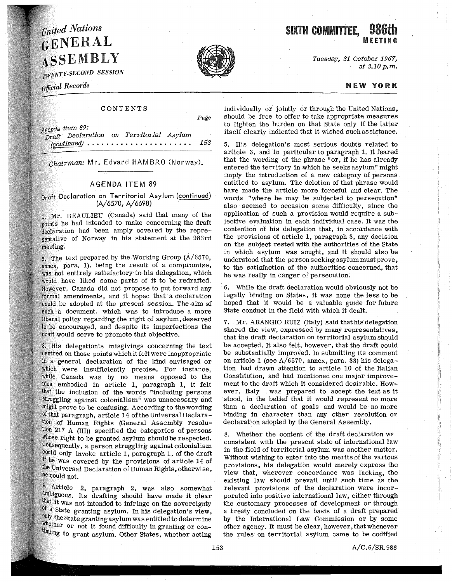## **United Nations** GENERAL ASSEMBLY

 $T\overline{W}ENTY-SECOND$  SESSION

Official Records

## CONTENTS

Agenda item 89: P<sub>Draft</sub> Declaration on Territorial Asylum (continued) . • • . • • . . • • • . • . . • • • • • • . 153

*chairman:* Mr. Edvard HAM BRO (Nor way),

## AGENDA ITEM 89

Draft Declaration on Territorial Asylum (continued) (A/6570, A/6698)

Mr. BEAULIEU (Canada) said that many of the points he had intended to make concerning the draft heclaration had been amply covered by the representative of Norway in his statement at the 983rd meeting.

2. The text prepared by the Working Group  $(A/6570,$ annex, para. 1), being the result of a compromise, was not entirely satisfactory to his delegation, which would have liked some parts of it to be redrafted. However, Canada did not propose to put forward any formal amendments, and it hoped that a declaration be adopted at the present session. The aim of such a document, which was to introduce a more liberal policy regarding the right of asylum, deserved to be encouraged, and despite its imperfections the draft would serve to promote that objective.

His delegation's misgivings concerning the text centred on those points which it felt were inappropriate a general declaration of the kind envisaged or which were insufficiently precise. For instance, while Canada was by no means opposed to the embodied in article 1, paragraph 1, it felt the inclusion of the words "including persons struggling against colonialism" was unnecessary and might prove to be confusing. According to the wording of that paragraph, article 14 of the Universal Declaration of Human Rights (General Assembly resolu-217 A (III)) specified the categories of persons whose right to be granted asylum should be respected.  $\n Consider a function of the following equations, it is is a clear that the function  $a$  and  $b$  are defined as follows:$ could only invoke article 1, paragraph 1, of the draft he was covered by the provisions of article 14 of Universai Declaration of Human Rights, otherwise, he could not.

4. Article 2, paragraph 2, was also somewhat ambiguous. Its drafting should have made it clear that it was not intended to infringe on the sovereignty of a State granting asylum. In his delegation's view, only the State granting asylum was entitled to determine whether or not it found difficulty in granting or continuing to grant asylum. Other States, whether acting Tuesday, 31 October 1967, at 3.10 p.m.

NEW YORK

MEETING

individually or jointly or through the United Nations, should be free to offer to take appropriate measures to lighten the burden on that State only if the latter itself clearly indicated that it wished such assistance.

5. His delegation's most serious doubts related to article 3, and in particular to paragraph 1. It feared that the wording of the phrase "or, if he has already entered the territory in which he seeks asylum" might imply the introduction of a new category of persons . entitled to asylum. The deletion of that phrase would have made the article more forceful and clear. The words "where he may be subjected to persecution" also seemed to occasion some difficulty, since the application of such a provision would require a subjective evaluation in each individual case. It was the contention of his delegation that, in accordance with the provisions of article 1, paragraph 3, any decision on the subject rested with the authorities of the State in which asylum was sought, and it should also be understood that the person seeking asylum must prove, to the satisfaction of the authorities concerned, that he was really in danger of persecution.

6. While the draft declaration would obviously not be legally binding on States, it was none the less to be hoped that it would be a valuable guide for future State conduct in the field with which it dealt.

7. Mr. ARANGIO RUIZ (Italy) said that his delegation shared the view, expressed by many representatives, that the draft declaration on territorial asylum should be accepted. It also felt, however, that the draft could be substantially improved. In submitting its comment on article 1 (see  $A/6570$ , annex, para. 33) his delegation had drawn attention to article 10 of the Italian Constitution, and had mentioned one major improvement to the draft which it considered desirable. However, Italy was prepared to accept the text as it stood, in the belief that it would represent no more than a declaration of goals and would be no more binding in character than any other resolution or declaration adopted by the General Assembly.

8. Whether the content of the draft declaration W? consistent with the present state of international law in the field of territorial asylum was another matter. Without wishing to enter into the merits of the various provisions, his delegation would merely express the view that, wherever concordance was lacking, the existing law should prevail until such time as the relevant provisions of the declaration were incorporated into positive international law, either through the customary processes of development or through a treaty concluded on the basis of a draft prepared by the International Law Commission or by some other agency. It must be clear, however, that whenever the rules on territorial asylum came to be codified





Page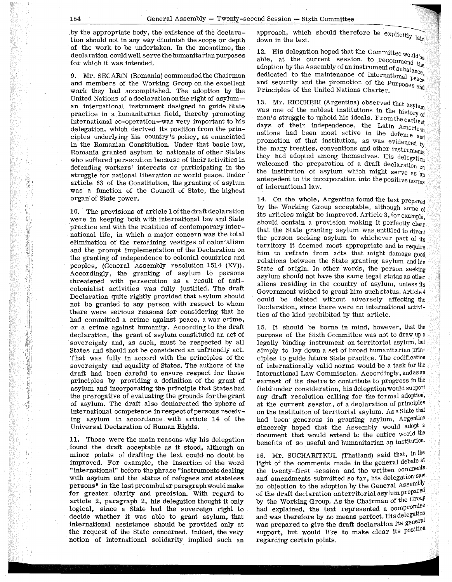. by the appropriate body, the existence of the declaration should not in any way diminish the scope or depth of the work to be undertaken. In the meantime, the declaration could well serve the humanitarian purposes for which it was intended.

9. Mr. SECARIN (Romania) commended the Chairman and members of the Working Group on the excellent work they had accomplished. The adoption by the United Nations of a declaration on the right of asyluman international instrument designed to guide State practice in a humanitarian field, thereby promoting international co-operation-was very important to his delegation, which derived its position from the principles underlying liis country's policy, as enunciated in the Romanian Constitution. Under that basic law, Romania granted asylum to nationals of other States who suffered persecution because of their activities in defending workers' interests or participating in the struggle for national liberation or world peace. Under article 63 of the Constitution, the granting of asylum was a function of the Council of State, the highest organ of State power.

10. The provisions of article 1 of the draft declaration were in keeping both with international law and State practice and with the realities of contemporary international life, in which a major concern was the total elimination of the remaining vestiges of colonialism and the prompt implementation of the Declaration on the granting of independence to colonial countries and peoples, (General Assembly resolution 1514 (XV)), Accordingly, the granting of asylum to persons threatened with persecution as a result of anticolonialist activities was fully justified. The draft Declaration quite rightly provided that asylum should not be granted to any person with respect to whom there were serious reasons for considering that he had committed a crime against peace, a war crime, or a crime. against humanity. According to the draft declaration, the grant of asylum constituted an act of sovereignty and, as such, must be respected by all States and should not be considered an unfriendly act. That was fully in accord with the principles of the sovereignty and equality of States. The authors of the draft had been careful to ensure respect for those principles by providing a definition of the grant of asylum and incorporating the principle that States had the prerogative of evaluating the grounds for the grant of asylum. The draft also demarcated the sphere of international competence in respect of persons receiving asylum in accordance with article 14 of the Universal Declaration of Human Rights.

11. Those were the main reasons why his delegation found the draft acceptable as it stood, although on minor points of drafting the text could no doubt be improved. For example, the insertion of the word "international" before the phrase "instruments dealing with asylum and the status of refugees and stateless persons" in the last preambular paragraph would make for greater clarity and precision. With regard to article 2, paragraph 2, his delegation thought it only logical, since a State had the sovereign right to decide ·whether it was able to grant asylum, that international assistance should be provided only at the request of the State concerned. Indeed, the very notion of international solidarity implied such an

approach, which should therefore be explicitly  $_{\text{laid}}$  down in the text.<br>12. His delegation hoped that the Committee would be

12. His delegation  $m_{\text{F}}$  as the current session, to recommend the adoption by the Assembly of an instrument of substance. dedicated to the maintenance of international  $_{\text{peace}}$ and security and the promotion of the  $Purposes$  and Principles of the United Nations Charter.

13. Mr. RICCHERI (Argentina) observed that  $\text{asylum}$ was one of the noblest institutions in the history of man's struggle to uphold his ideals. From the earliest days of their independence, the Latin American nations had been most active in the defence  $_{\text{and}}$ promotion of that institution, as was evidenced by the many treaties, conventions and other instruments they had adopted among themselves. His delegation welcomed the preparation of a draft declaration on<br>the institution of asylum which might serve as  $_{an}$ antecedent to its incorporation into the positive norms of international law.

14. On the whole, Argentina found the text prepared by the Working Group acceptable, although some of its articles might be improved. Article 3, for example, should contain a provision making it perfectly clear that the State granting asylum was entitled to direct the person seeking asylum to whichever part of its territory it deemed most appropriate and to require him to refrain from acts that might damage good relations between the State granting asylum and his State of origin. In other words, the person seeking asylum should not have the same legal status as other aliens residing in the country of asylum, unless its Government wished to grant him such status. Article 4 could be deleted without adversely affecting the Declaration, since there were no international activities of the kind prohibited by that article.

15. It should be borne in mind, however, that the purpose of the Sixth Committee was not to draw up a legally binding instrument on territorial asylum, but simply to lay down a set of broad humanitarian principles to guide future State practice. The codification of internationally valid norms would be a task for the International Law Commission. Accordingly, and as an earnest of its desire to contribute to progress in the field under consideration, his delegation would support any draft resolution calling for the formal adoption, at the current session, of a declaration of principles on the institution of territorial asylum. As a State that had been generous in granting asylum, Argentina sincerely hoped that the Assembly would adopt a document that would extend to the entire world the benefits of so useful and humanitarian an institution.

16. Mr. SUCHARITKUL (Thailand) said that, in the light of the comments made in the general debate at the twenty-first session and the written comments and amendments submitted so far, his delegation saw no objection to the adoption by the General Assembly of the draft declaration on territorial asylum prepared by the Working Group. As the Chairman of the  $G_{\text{row}}$ had explained, the text represented a  $compromise$ and was therefore by no means perfect. His delegation was prepared to give the draft declaration its general support, but would like to make clear its position regarding certain points.

.I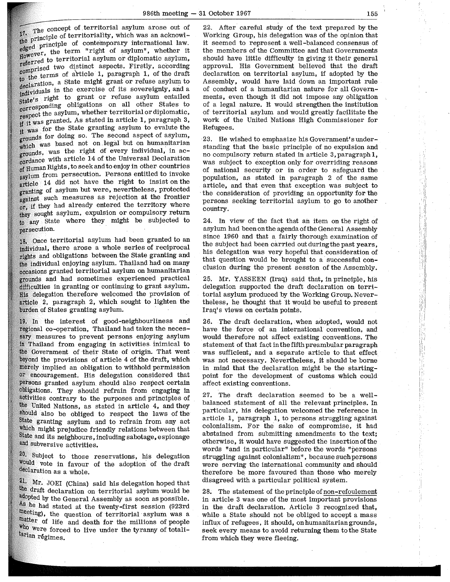17. The concept of territorial asylum arose out of the principle of territoriality, which was an acknowlprovide principle of contemporary international law.  $t^{\text{cusp}}$   $\mathbf{r}$ , the term "right of asylum", whether it to territorial asylum or diplomatic asylum, resorting two distinct aspects. Firstly, according the terms of article 1, paragraph 1, of the draft declaration, a State might grant or refuse asylum to neutralis in the exercise of its sovereignty, and a right to grant or refuse asylum entailed obligations on all other States to respect the asylum, whether territorial or diplomatic, was granted. As stated in article 1, paragraph 3, was for the State granting asylum to evalute the grounds for doing so. The second aspect of asylum, which was based not on legal but on humanitarian grounds, was the right of every individual, in ac- $_{\rm cordance}^{\circ}$  with article 14 of the Universal Declaration of Human Rights, to seek and to enjoy in other countries asylum from persecution. Persons entitled to invoke article 14 did not have the right to insist on the granting of asylum but were, nevertheless, protected against such measures as rejection at the frontier or, if they had already entered the territory where sought asylum, expulsion or compulsory return any State where they might be subjected to persecution.

18. Once territorial asylum had been granted to an individual, there arose a whole series of reciprocal rights and obligations between the State granting and the individual enjoying asylum. Thailand had on many occasions granted territorial asylum on humanitarian grounds and had sometimes experienced practical difficulties in granting or continuing to grant asylum. delegation therefore welcomed the provision of article 2, paragraph 2, which sought to lighten the burden of States granting asylum.

In the interest of good-neighbourliness and regional co-operation, Thailand had taken the necessary measures to prevent persons enjoying asylum Thailand from engaging in activities inimical to Government of their State of origin. That went beyond the provisions of article 4 of the draft, which implied an obligation to withhold permission encouragement. His delegation considered that persons granted asylum should also respect certain obligations. They should refrain from engaging in activities contrary to the purposes and principles of United Nations, as stated in article 4, and they should also be obliged to respect the laws of the State granting asylum and to refrain from any act which might prejudice friendly relations between that State and its neighbours, including sabotage, espionage and subversive activities.

20. Subject to those reservations, his delegation vote in favour of the adoption of the draft declaration as a whole.

21. Mr. JOEI (China) said his delegation hoped that the draft declaration on territorial asylum would be adopted by the General Assembly as soon as possible. As he had stated at the twenty-first session (923rd meeting), the question of territorial asylum was a matter of life and death for the millions of people who were forced to live under the tyranny of totalitarian régimes.

22. After careful study of the text prepared by the Working Group, his delegation was of the opinion that it seemed to represent a well-balanced consensus of the members of the Committee and that Governments should have little difficulty in giving it their general approval. His Government believed that the draft declaration on territorial asylum, if adopted by the Assembly, would have laid down an important rule of conduct of a humanitarian nature for all Governments, even though it did not impose any obligation of a legal nature. It would strengthen the institution of territorial asylum and would greatly facilitate the work of the United Nations High Commissioner for Refugees.

23. He wished to emphasize his Government's understanding that the basic principle of no expulsion and no compulsory return stated in article 3, paragraph 1, was subject to exception only for overriding reasons of national security or in order to safeguard the population, as stated in paragraph 2 of the same article, and that even that exception was subject to the consideration of providing an opportunity for the persons seeking territorial asylum to go to another country.

24. In view of the fact that an item on the right of asylum had been on the agenda of the General Assembly since 1960 and that a fairly thorough examination of the subject had been carried out during the past years. his delegation was very hopeful that consideration of that question would be brought to a successful conclusion during the present session of the Assembly.

25. Mr. YASSEEN (Iraq) said that, in principle, his delegation supported the draft declaration on territorial asylum produced by the Working Group. Nevertheless, he thought that it would be useful to present Iraq's views on certain points. ·

26. The draft declaration, when adopted, would not have the force of an international convention, and would therefore not affect existing conventions. The statement of that fact in the fifth preambular paragraph was sufficient, and a separate article to that effect was not necessary. Nevertheless, it should be borne in mind that the declaration might be the startingpoint for the development of customs which could affect existing conventions.

27. The draft declaration seemed to be a wellbalanced statement of all the relevant principles. In particular, his delegation welcomed the reference in article 1, paragraph 1, to persons struggling against colonialism. For the sake of compromise, it had abstained from submitting amendments to the text; otherwise, it would have suggested the insertionofthe words "and in particular" before the words "persons struggling against colonialism", because such persons were serving the international community and should therefore be more favoured than those who merely disagreed with a particular political system.

2 8. The statement of the principle of non-refoulement in article 3 was one of the most important provisions in the draft declaration. Article 3 recognized that, while a State should not be obliged to accept a mass influx of refugees, it should, on humanitarian grounds, seek every means to avoid returning them to the State from which they were fleeing.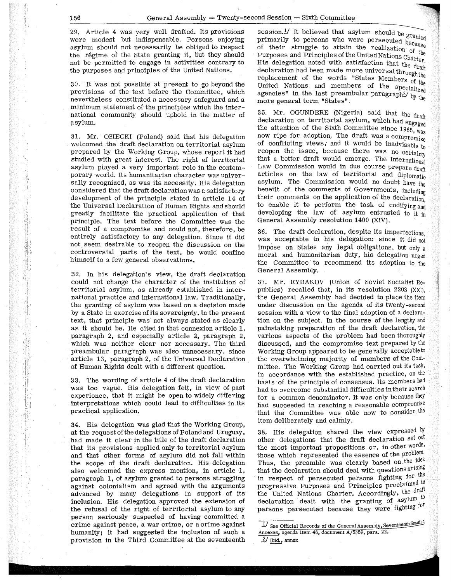I:

29. Article 4 was very well drafted. Its provisions were modest but indispensable. Persons enjoying asylum should not necessarily be obliged to respect the regime of the State granting it, but they should not be permitted to engage in activities contrary to the purposes and principles of the United Nations.

30. It was not possible at present to go beyond the provisions of the text before the Committee, which nevertheless constituted a necessary safeguard and a minimum statement of the principles which the international community should uphold in the matter of asylum.

31. Mr. OSIECKI (Poland) said that his delegation welcomed the draft. declaration on territorial asylum prepared by the Working Group, whose report it had studied with great interest. The right of territorial asylum played a very important role in the contemporary world. Its humanitarian character was universally recognized, as was its necessity. His delegation considered that the draft declaration was a satisfactory development of the principle stated in article 14 of the Universal Declaration of Human Rights and should greatly facilitate the practical application of that principle. The text before the Committee was the result of a compromise and could not, therefore, be entirely satisfactory to any delegation. Since it did not seem desirable to reopen the discussion on the controversial parts of the text, he would confine himself to a few general observations.

32. In his delegation's view, the draft declaration could not change the character of the institution of territorial asylum, as already established in international practice and international law. Traditionally, the granting of asylum was based on a decision made by a State in exercise of its sovereignty. In the present text, that principle was not always stated as clearly as it should be. He cited in that connexion article 1, paragraph 2, and especially article 2, paragraph 2, which was neither clear nor necessary. The third preambular paragraph was also unnecessary, since article 13, paragraph 2, of the Universal Declaration of Human Rights dealt with a different question.

33. The wording of article 4 of the draft declaration was too vague. His delegation felt, in view of past experience, that it might be open to widely differing interpretations which could lead to difficulties in its practical application,

34. His delegation was glad that the Working Group, at the request of the delegations of Poland and Uruguay, had made it clear in the title of the draft declaration that its provisions applied only to territorial asylum and that other forms of asylum did not fall within the scope of the draft declaration. His delegation also welcomed the express mention, in article 1, paragraph 1, of asylum granted to persons struggling against colonialism and agreed with the arguments advanced by many delegations in support of its inclusion. His delegation approved the extension of the refusal of the right of territorial asylum to any person seriously suspected of having committed a crime against peace, a war crime, or a crime against humanity; it had suggested the inclusion of such a provision in the Third Committee at the seventeenth session.<sup>1</sup>/ It believed that asylum should be  $\frac{1}{4}$ primarily to persons who were persecuted because of their struggle to attain the realization of the Purposes and Principles of the United Nations Charter. His delegation noted with satisfaction that the draft declaration had been made more universal throughthe replacement of the words "States Members gf the United Nations and members of the specialized agencies" in the last preambular paragraph<sup>27</sup> by the more general term "States".

35. Mr. OGUNDERE (Nigeria) said that the draft declaration on territorial asylum, which had engaged the attention of the Sixth Committee since  $1965$ ,  $w_{\text{as}}$ now ripe for adoption. The draft was a compromise of conflicting views, and it would be inadvisable  $_{t_0}$ reopen the issue, because there was no certainty that a better draft would emerge. The International Law Commission would in due course prepare draft articles on the law of territorial and diplomatic asylum. The Commission would no doubt have the benefit of the comments of Governments, including their comments on the application of the declaration, to enable it to perform the task of codifying and developing the law of asylum entrusted to it in General Assembly resolution 1400 (XIV).

36. The draft declaration, despite its imperfections was acceptable to his delegation: since it did not impose on States any legal obligations, but only a moral and humanitarian duty, his delegation urged the Committee to recommend its adoption to the General Assembly.

37. Mr. RYBAKOV (Union of Soviet Socialist Republics) recalled that, in its resolution 2203 (XXI), the General Assembly had decided to place the item under discussion on the agenda of its twenty-second session with a view to the final adoption of a declaration on the subject. In the course of the lengthy and painstaking preparation of the draft declaration, the various aspects of the problem had been thoroughly discussed, and the compromise text prepared by the Working Group appeared to be generally acceptable to the overwhelming majority of members of the Committee. The Working Group had carried out its task, in accordance with the established practice, on the basis of the principle of consensus. Its members had had to overcome substantial difficulties in their search for a common denominator. It was only because they had succeeded in reaching a reasonable compromise that the Committee was able now to consider the item deliberately and calmly.

38. His delegation shared the view expressed  $b$ y other delegations that the draft declaration set out the most important propositions or, in other words, those which represented the essence of the problem. Thus, the preamble was clearly based on the idea that the declaration should deal with questions arising in respect of persecuted persons fighting for the progressive Purposes and Principles proclaimed in the United Nations Charter. Accordingly, the draft declaration dealt with the granting of  $\frac{1}{2}$  respectively. persons persecuted because they were fighting for

<sup>1/</sup> See Official Records of the General Assembly, Seventeenth Session, Annexes, agenda item 46, document A/5359, para. 22. *:.Y* Ibid., annex